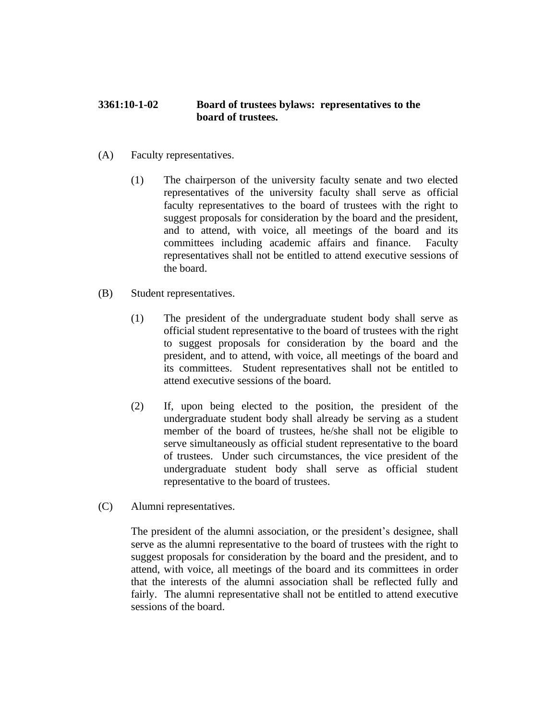## **3361:10-1-02 Board of trustees bylaws: representatives to the board of trustees.**

- (A) Faculty representatives.
	- (1) The chairperson of the university faculty senate and two elected representatives of the university faculty shall serve as official faculty representatives to the board of trustees with the right to suggest proposals for consideration by the board and the president, and to attend, with voice, all meetings of the board and its committees including academic affairs and finance. Faculty representatives shall not be entitled to attend executive sessions of the board.
- (B) Student representatives.
	- (1) The president of the undergraduate student body shall serve as official student representative to the board of trustees with the right to suggest proposals for consideration by the board and the president, and to attend, with voice, all meetings of the board and its committees. Student representatives shall not be entitled to attend executive sessions of the board.
	- (2) If, upon being elected to the position, the president of the undergraduate student body shall already be serving as a student member of the board of trustees, he/she shall not be eligible to serve simultaneously as official student representative to the board of trustees. Under such circumstances, the vice president of the undergraduate student body shall serve as official student representative to the board of trustees.
- (C) Alumni representatives.

The president of the alumni association, or the president's designee, shall serve as the alumni representative to the board of trustees with the right to suggest proposals for consideration by the board and the president, and to attend, with voice, all meetings of the board and its committees in order that the interests of the alumni association shall be reflected fully and fairly. The alumni representative shall not be entitled to attend executive sessions of the board.